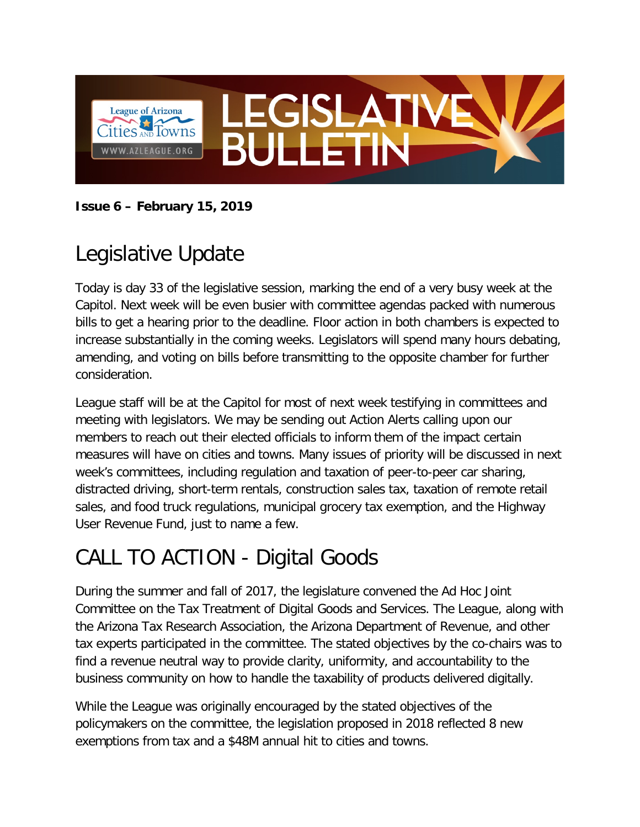

**Issue 6 – February 15, 2019**

# Legislative Update

Today is day 33 of the legislative session, marking the end of a very busy week at the Capitol. Next week will be even busier with committee agendas packed with numerous bills to get a hearing prior to the deadline. Floor action in both chambers is expected to increase substantially in the coming weeks. Legislators will spend many hours debating, amending, and voting on bills before transmitting to the opposite chamber for further consideration.

League staff will be at the Capitol for most of next week testifying in committees and meeting with legislators. We may be sending out Action Alerts calling upon our members to reach out their elected officials to inform them of the impact certain measures will have on cities and towns. Many issues of priority will be discussed in next week's committees, including regulation and taxation of peer-to-peer car sharing, distracted driving, short-term rentals, construction sales tax, taxation of remote retail sales, and food truck regulations, municipal grocery tax exemption, and the Highway User Revenue Fund, just to name a few.

## CALL TO ACTION - Digital Goods

During the summer and fall of 2017, the legislature convened the Ad Hoc Joint Committee on the Tax Treatment of Digital Goods and Services. The League, along with the Arizona Tax Research Association, the Arizona Department of Revenue, and other tax experts participated in the committee. The stated objectives by the co-chairs was to find a revenue neutral way to provide clarity, uniformity, and accountability to the business community on how to handle the taxability of products delivered digitally.

While the League was originally encouraged by the stated objectives of the policymakers on the committee, the legislation proposed in 2018 reflected 8 new exemptions from tax and a \$48M annual hit to cities and towns.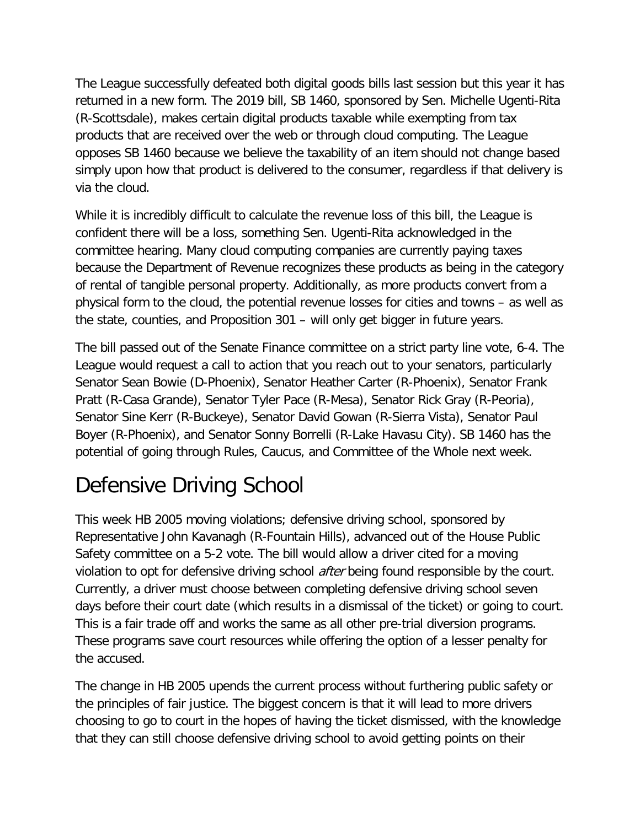The League successfully defeated both digital goods bills last session but this year it has returned in a new form. The 2019 bill, SB 1460, sponsored by Sen. Michelle Ugenti-Rita (R-Scottsdale), makes certain digital products taxable while exempting from tax products that are received over the web or through cloud computing. The League opposes SB 1460 because we believe the taxability of an item should not change based simply upon how that product is delivered to the consumer, regardless if that delivery is via the cloud.

While it is incredibly difficult to calculate the revenue loss of this bill, the League is confident there will be a loss, something Sen. Ugenti-Rita acknowledged in the committee hearing. Many cloud computing companies are currently paying taxes because the Department of Revenue recognizes these products as being in the category of rental of tangible personal property. Additionally, as more products convert from a physical form to the cloud, the potential revenue losses for cities and towns – as well as the state, counties, and Proposition 301 – will only get bigger in future years.

The bill passed out of the Senate Finance committee on a strict party line vote, 6-4. The League would request a call to action that you reach out to your senators, particularly Senator Sean Bowie (D-Phoenix), Senator Heather Carter (R-Phoenix), Senator Frank Pratt (R-Casa Grande), Senator Tyler Pace (R-Mesa), Senator Rick Gray (R-Peoria), Senator Sine Kerr (R-Buckeye), Senator David Gowan (R-Sierra Vista), Senator Paul Boyer (R-Phoenix), and Senator Sonny Borrelli (R-Lake Havasu City). SB 1460 has the potential of going through Rules, Caucus, and Committee of the Whole next week.

## Defensive Driving School

This week HB 2005 moving violations; defensive driving school, sponsored by Representative John Kavanagh (R-Fountain Hills), advanced out of the House Public Safety committee on a 5-2 vote. The bill would allow a driver cited for a moving violation to opt for defensive driving school *after* being found responsible by the court. Currently, a driver must choose between completing defensive driving school seven days before their court date (which results in a dismissal of the ticket) or going to court. This is a fair trade off and works the same as all other pre-trial diversion programs. These programs save court resources while offering the option of a lesser penalty for the accused.

The change in HB 2005 upends the current process without furthering public safety or the principles of fair justice. The biggest concern is that it will lead to more drivers choosing to go to court in the hopes of having the ticket dismissed, with the knowledge that they can still choose defensive driving school to avoid getting points on their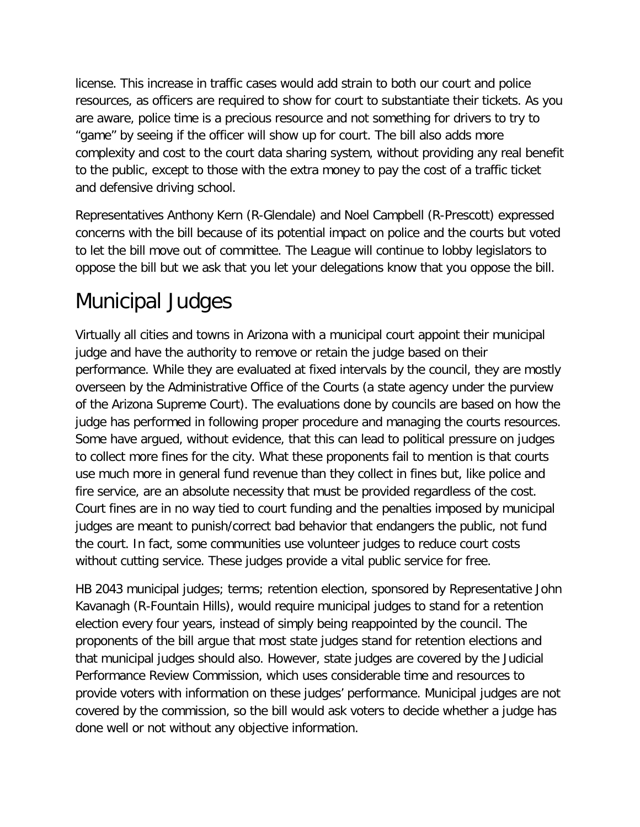license. This increase in traffic cases would add strain to both our court and police resources, as officers are required to show for court to substantiate their tickets. As you are aware, police time is a precious resource and not something for drivers to try to "game" by seeing if the officer will show up for court. The bill also adds more complexity and cost to the court data sharing system, without providing any real benefit to the public, except to those with the extra money to pay the cost of a traffic ticket and defensive driving school.

Representatives Anthony Kern (R-Glendale) and Noel Campbell (R-Prescott) expressed concerns with the bill because of its potential impact on police and the courts but voted to let the bill move out of committee. The League will continue to lobby legislators to oppose the bill but we ask that you let your delegations know that you oppose the bill.

### Municipal Judges

Virtually all cities and towns in Arizona with a municipal court appoint their municipal judge and have the authority to remove or retain the judge based on their performance. While they are evaluated at fixed intervals by the council, they are mostly overseen by the Administrative Office of the Courts (a state agency under the purview of the Arizona Supreme Court). The evaluations done by councils are based on how the judge has performed in following proper procedure and managing the courts resources. Some have argued, without evidence, that this can lead to political pressure on judges to collect more fines for the city. What these proponents fail to mention is that courts use much more in general fund revenue than they collect in fines but, like police and fire service, are an absolute necessity that must be provided regardless of the cost. Court fines are in no way tied to court funding and the penalties imposed by municipal judges are meant to punish/correct bad behavior that endangers the public, not fund the court. In fact, some communities use volunteer judges to reduce court costs without cutting service. These judges provide a vital public service for free.

HB 2043 municipal judges; terms; retention election, sponsored by Representative John Kavanagh (R-Fountain Hills), would require municipal judges to stand for a retention election every four years, instead of simply being reappointed by the council. The proponents of the bill argue that most state judges stand for retention elections and that municipal judges should also. However, state judges are covered by the Judicial Performance Review Commission, which uses considerable time and resources to provide voters with information on these judges' performance. Municipal judges are not covered by the commission, so the bill would ask voters to decide whether a judge has done well or not without any objective information.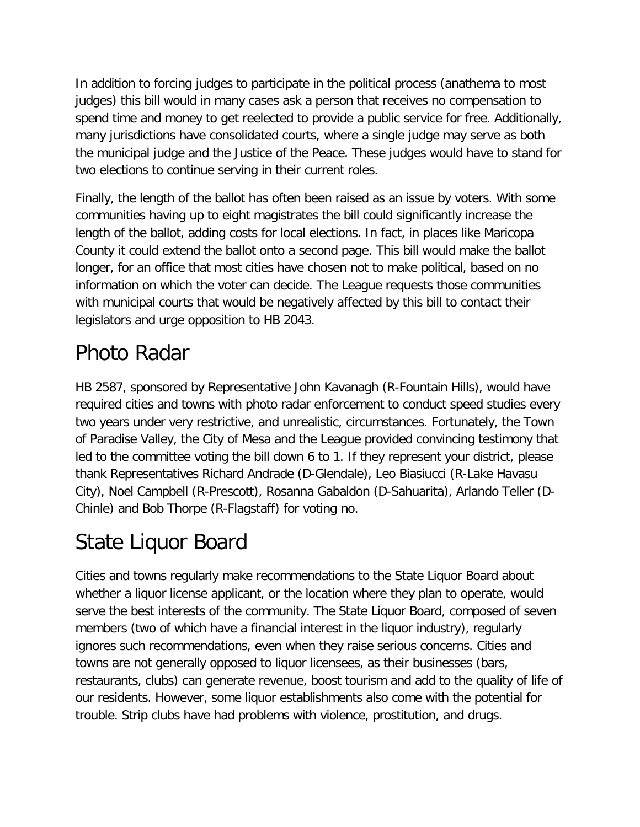In addition to forcing judges to participate in the political process (anathema to most judges) this bill would in many cases ask a person that receives no compensation to spend time and money to get reelected to provide a public service for free. Additionally, many jurisdictions have consolidated courts, where a single judge may serve as both the municipal judge and the Justice of the Peace. These judges would have to stand for two elections to continue serving in their current roles.

Finally, the length of the ballot has often been raised as an issue by voters. With some communities having up to eight magistrates the bill could significantly increase the length of the ballot, adding costs for local elections. In fact, in places like Maricopa County it could extend the ballot onto a second page. This bill would make the ballot longer, for an office that most cities have chosen not to make political, based on no information on which the voter can decide. The League requests those communities with municipal courts that would be negatively affected by this bill to contact their legislators and urge opposition to HB 2043.

# Photo Radar

HB 2587, sponsored by Representative John Kavanagh (R-Fountain Hills), would have required cities and towns with photo radar enforcement to conduct speed studies every two years under very restrictive, and unrealistic, circumstances. Fortunately, the Town of Paradise Valley, the City of Mesa and the League provided convincing testimony that led to the committee voting the bill down 6 to 1. If they represent your district, please thank Representatives Richard Andrade (D-Glendale), Leo Biasiucci (R-Lake Havasu City), Noel Campbell (R-Prescott), Rosanna Gabaldon (D-Sahuarita), Arlando Teller (D-Chinle) and Bob Thorpe (R-Flagstaff) for voting no.

## State Liquor Board

Cities and towns regularly make recommendations to the State Liquor Board about whether a liquor license applicant, or the location where they plan to operate, would serve the best interests of the community. The State Liquor Board, composed of seven members (two of which have a financial interest in the liquor industry), regularly ignores such recommendations, even when they raise serious concerns. Cities and towns are not generally opposed to liquor licensees, as their businesses (bars, restaurants, clubs) can generate revenue, boost tourism and add to the quality of life of our residents. However, some liquor establishments also come with the potential for trouble. Strip clubs have had problems with violence, prostitution, and drugs.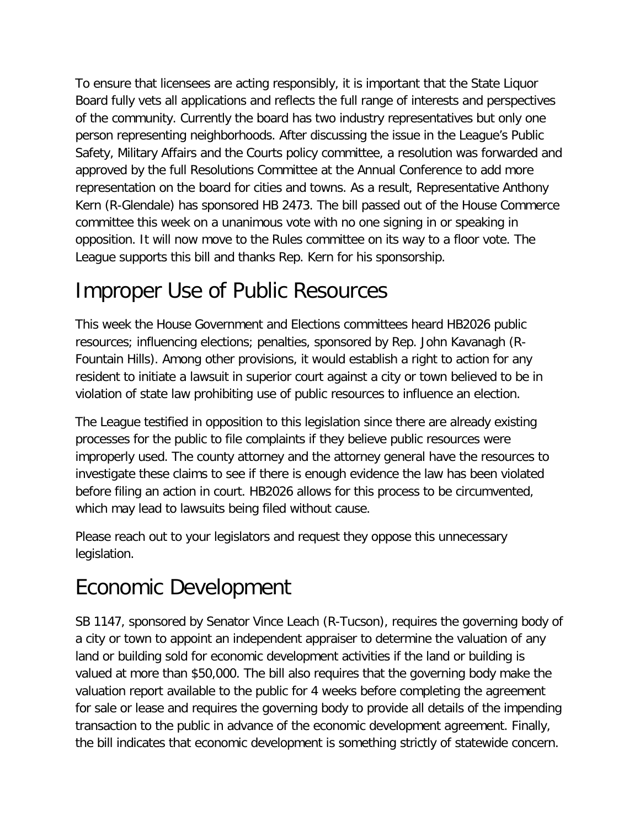To ensure that licensees are acting responsibly, it is important that the State Liquor Board fully vets all applications and reflects the full range of interests and perspectives of the community. Currently the board has two industry representatives but only one person representing neighborhoods. After discussing the issue in the League's Public Safety, Military Affairs and the Courts policy committee, a resolution was forwarded and approved by the full Resolutions Committee at the Annual Conference to add more representation on the board for cities and towns. As a result, Representative Anthony Kern (R-Glendale) has sponsored HB 2473. The bill passed out of the House Commerce committee this week on a unanimous vote with no one signing in or speaking in opposition. It will now move to the Rules committee on its way to a floor vote. The League supports this bill and thanks Rep. Kern for his sponsorship.

#### Improper Use of Public Resources

This week the House Government and Elections committees heard HB2026 public resources; influencing elections; penalties, sponsored by Rep. John Kavanagh (R-Fountain Hills). Among other provisions, it would establish a right to action for any resident to initiate a lawsuit in superior court against a city or town believed to be in violation of state law prohibiting use of public resources to influence an election.

The League testified in opposition to this legislation since there are already existing processes for the public to file complaints if they believe public resources were improperly used. The county attorney and the attorney general have the resources to investigate these claims to see if there is enough evidence the law has been violated before filing an action in court. HB2026 allows for this process to be circumvented, which may lead to lawsuits being filed without cause.

Please reach out to your legislators and request they oppose this unnecessary legislation.

#### Economic Development

SB 1147, sponsored by Senator Vince Leach (R-Tucson), requires the governing body of a city or town to appoint an independent appraiser to determine the valuation of any land or building sold for economic development activities if the land or building is valued at more than \$50,000. The bill also requires that the governing body make the valuation report available to the public for 4 weeks before completing the agreement for sale or lease and requires the governing body to provide all details of the impending transaction to the public in advance of the economic development agreement. Finally, the bill indicates that economic development is something strictly of statewide concern.